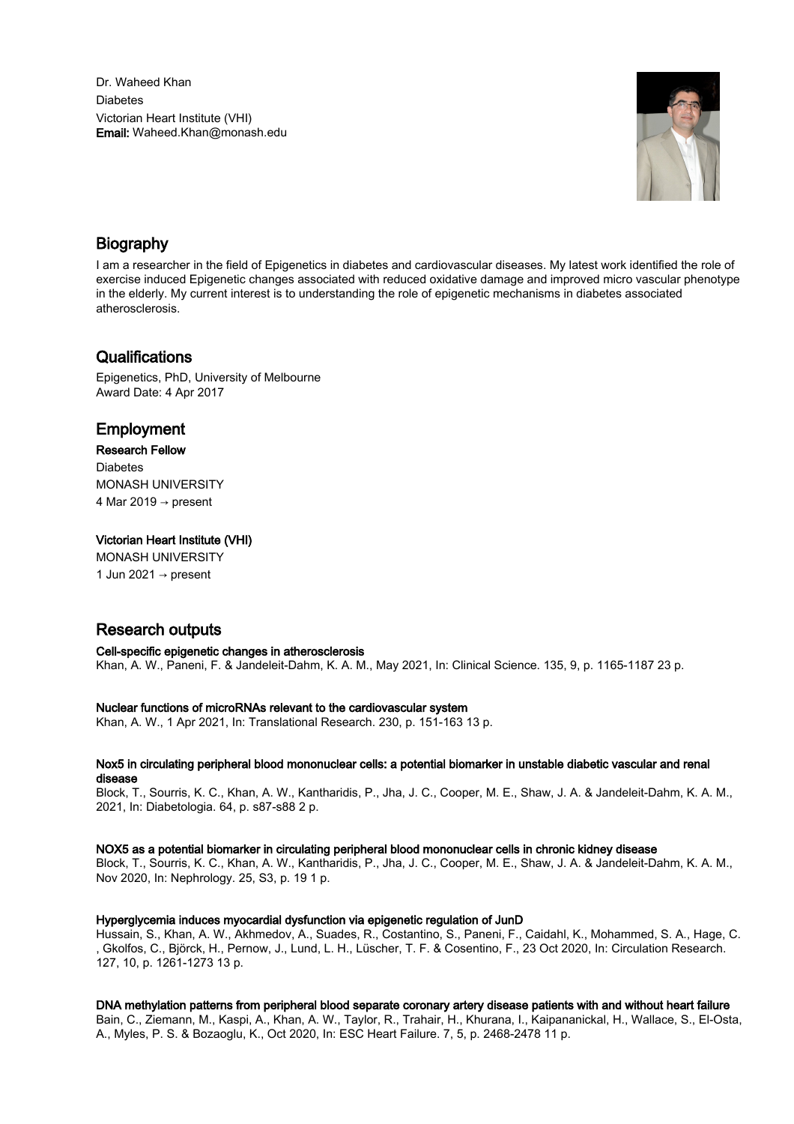Dr. Waheed Khan **Diabates** Victorian Heart Institute (VHI) Email: Waheed.Khan@monash.edu



## Biography

I am a researcher in the field of Epigenetics in diabetes and cardiovascular diseases. My latest work identified the role of exercise induced Epigenetic changes associated with reduced oxidative damage and improved micro vascular phenotype in the elderly. My current interest is to understanding the role of epigenetic mechanisms in diabetes associated atherosclerosis.

## **Qualifications**

Epigenetics, PhD, University of Melbourne Award Date: 4 Apr 2017

## Employment

#### Research Fellow

**Diabetes** MONASH UNIVERSITY 4 Mar 2019  $\rightarrow$  present

#### Victorian Heart Institute (VHI)

MONASH UNIVERSITY 1 Jun 2021 → present

# Research outputs

Cell-specific epigenetic changes in atherosclerosis Khan, A. W., Paneni, F. & Jandeleit-Dahm, K. A. M., May 2021, In: Clinical Science. 135, 9, p. 1165-1187 23 p.

#### Nuclear functions of microRNAs relevant to the cardiovascular system

Khan, A. W., 1 Apr 2021, In: Translational Research. 230, p. 151-163 13 p.

#### Nox5 in circulating peripheral blood mononuclear cells: a potential biomarker in unstable diabetic vascular and renal disease

Block, T., Sourris, K. C., Khan, A. W., Kantharidis, P., Jha, J. C., Cooper, M. E., Shaw, J. A. & Jandeleit-Dahm, K. A. M., 2021, In: Diabetologia. 64, p. s87-s88 2 p.

#### NOX5 as a potential biomarker in circulating peripheral blood mononuclear cells in chronic kidney disease

Block, T., Sourris, K. C., Khan, A. W., Kantharidis, P., Jha, J. C., Cooper, M. E., Shaw, J. A. & Jandeleit-Dahm, K. A. M., Nov 2020, In: Nephrology. 25, S3, p. 19 1 p.

#### Hyperglycemia induces myocardial dysfunction via epigenetic regulation of JunD

Hussain, S., Khan, A. W., Akhmedov, A., Suades, R., Costantino, S., Paneni, F., Caidahl, K., Mohammed, S. A., Hage, C. , Gkolfos, C., Björck, H., Pernow, J., Lund, L. H., Lüscher, T. F. & Cosentino, F., 23 Oct 2020, In: Circulation Research. 127, 10, p. 1261-1273 13 p.

#### DNA methylation patterns from peripheral blood separate coronary artery disease patients with and without heart failure

Bain, C., Ziemann, M., Kaspi, A., Khan, A. W., Taylor, R., Trahair, H., Khurana, I., Kaipananickal, H., Wallace, S., El-Osta, A., Myles, P. S. & Bozaoglu, K., Oct 2020, In: ESC Heart Failure. 7, 5, p. 2468-2478 11 p.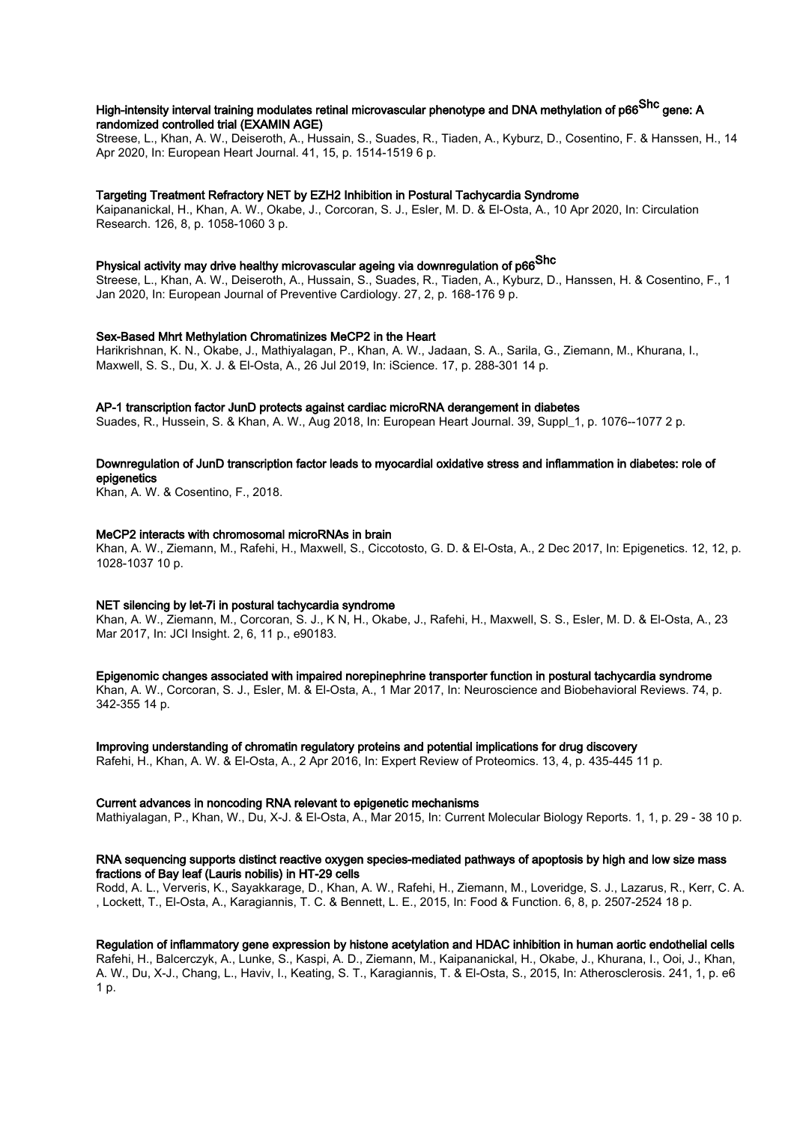## High-intensity interval training modulates retinal microvascular phenotype and DNA methylation of p66<sup>Shc</sup> gene: A randomized controlled trial (EXAMIN AGE)

Streese, L., Khan, A. W., Deiseroth, A., Hussain, S., Suades, R., Tiaden, A., Kyburz, D., Cosentino, F. & Hanssen, H., 14 Apr 2020, In: European Heart Journal. 41, 15, p. 1514-1519 6 p.

#### Targeting Treatment Refractory NET by EZH2 Inhibition in Postural Tachycardia Syndrome

Kaipananickal, H., Khan, A. W., Okabe, J., Corcoran, S. J., Esler, M. D. & El-Osta, A., 10 Apr 2020, In: Circulation Research. 126, 8, p. 1058-1060 3 p.

# Physical activity may drive healthy microvascular ageing via downregulation of p66 $^\mathsf{Shc}$

Streese, L., Khan, A. W., Deiseroth, A., Hussain, S., Suades, R., Tiaden, A., Kyburz, D., Hanssen, H. & Cosentino, F., 1 Jan 2020, In: European Journal of Preventive Cardiology. 27, 2, p. 168-176 9 p.

#### Sex-Based Mhrt Methylation Chromatinizes MeCP2 in the Heart

Harikrishnan, K. N., Okabe, J., Mathiyalagan, P., Khan, A. W., Jadaan, S. A., Sarila, G., Ziemann, M., Khurana, I., Maxwell, S. S., Du, X. J. & El-Osta, A., 26 Jul 2019, In: iScience. 17, p. 288-301 14 p.

#### AP-1 transcription factor JunD protects against cardiac microRNA derangement in diabetes

Suades, R., Hussein, S. & Khan, A. W., Aug 2018, In: European Heart Journal. 39, Suppl\_1, p. 1076-1077 2 p.

#### Downregulation of JunD transcription factor leads to myocardial oxidative stress and inflammation in diabetes: role of epigenetics

Khan, A. W. & Cosentino, F., 2018.

#### MeCP2 interacts with chromosomal microRNAs in brain

Khan, A. W., Ziemann, M., Rafehi, H., Maxwell, S., Ciccotosto, G. D. & El-Osta, A., 2 Dec 2017, In: Epigenetics. 12, 12, p. 1028-1037 10 p.

#### NET silencing by let-7i in postural tachycardia syndrome

Khan, A. W., Ziemann, M., Corcoran, S. J., K N, H., Okabe, J., Rafehi, H., Maxwell, S. S., Esler, M. D. & El-Osta, A., 23 Mar 2017, In: JCI Insight. 2, 6, 11 p., e90183.

Epigenomic changes associated with impaired norepinephrine transporter function in postural tachycardia syndrome Khan, A. W., Corcoran, S. J., Esler, M. & El-Osta, A., 1 Mar 2017, In: Neuroscience and Biobehavioral Reviews. 74, p. 342-355 14 p.

Improving understanding of chromatin regulatory proteins and potential implications for drug discovery Rafehi, H., Khan, A. W. & El-Osta, A., 2 Apr 2016, In: Expert Review of Proteomics. 13, 4, p. 435-445 11 p.

#### Current advances in noncoding RNA relevant to epigenetic mechanisms

Mathiyalagan, P., Khan, W., Du, X-J. & El-Osta, A., Mar 2015, In: Current Molecular Biology Reports. 1, 1, p. 29 - 38 10 p.

#### RNA sequencing supports distinct reactive oxygen species-mediated pathways of apoptosis by high and low size mass fractions of Bay leaf (Lauris nobilis) in HT-29 cells

Rodd, A. L., Ververis, K., Sayakkarage, D., Khan, A. W., Rafehi, H., Ziemann, M., Loveridge, S. J., Lazarus, R., Kerr, C. A. , Lockett, T., El-Osta, A., Karagiannis, T. C. & Bennett, L. E., 2015, In: Food & Function. 6, 8, p. 2507-2524 18 p.

#### Regulation of inflammatory gene expression by histone acetylation and HDAC inhibition in human aortic endothelial cells

Rafehi, H., Balcerczyk, A., Lunke, S., Kaspi, A. D., Ziemann, M., Kaipananickal, H., Okabe, J., Khurana, I., Ooi, J., Khan, A. W., Du, X-J., Chang, L., Haviv, I., Keating, S. T., Karagiannis, T. & El-Osta, S., 2015, In: Atherosclerosis. 241, 1, p. e6 1 p.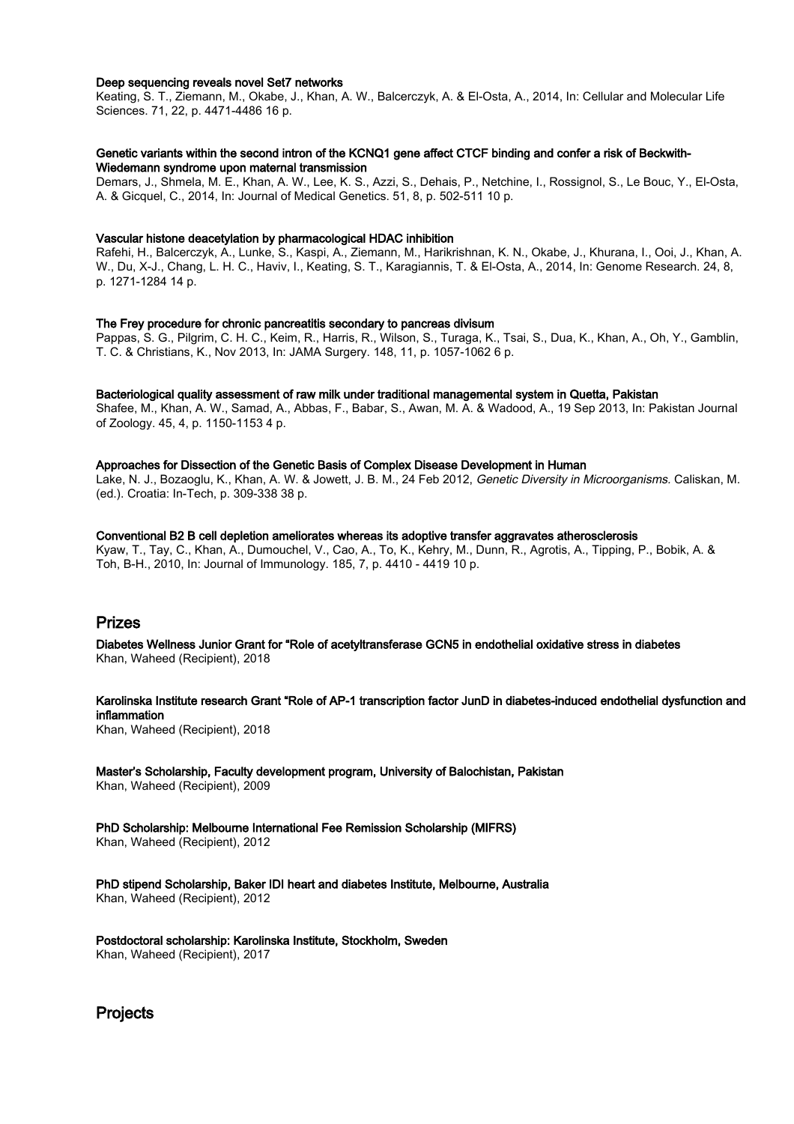#### Deep sequencing reveals novel Set7 networks

Keating, S. T., Ziemann, M., Okabe, J., Khan, A. W., Balcerczyk, A. & El-Osta, A., 2014, In: Cellular and Molecular Life Sciences. 71, 22, p. 4471-4486 16 p.

#### Genetic variants within the second intron of the KCNQ1 gene affect CTCF binding and confer a risk of Beckwith-Wiedemann syndrome upon maternal transmission

Demars, J., Shmela, M. E., Khan, A. W., Lee, K. S., Azzi, S., Dehais, P., Netchine, I., Rossignol, S., Le Bouc, Y., El-Osta, A. & Gicquel, C., 2014, In: Journal of Medical Genetics. 51, 8, p. 502-511 10 p.

#### Vascular histone deacetylation by pharmacological HDAC inhibition

Rafehi, H., Balcerczyk, A., Lunke, S., Kaspi, A., Ziemann, M., Harikrishnan, K. N., Okabe, J., Khurana, I., Ooi, J., Khan, A. W., Du, X-J., Chang, L. H. C., Haviv, I., Keating, S. T., Karagiannis, T. & El-Osta, A., 2014, In: Genome Research. 24, 8, p. 1271-1284 14 p.

#### The Frey procedure for chronic pancreatitis secondary to pancreas divisum

Pappas, S. G., Pilgrim, C. H. C., Keim, R., Harris, R., Wilson, S., Turaga, K., Tsai, S., Dua, K., Khan, A., Oh, Y., Gamblin, T. C. & Christians, K., Nov 2013, In: JAMA Surgery. 148, 11, p. 1057-1062 6 p.

#### Bacteriological quality assessment of raw milk under traditional managemental system in Quetta, Pakistan

Shafee, M., Khan, A. W., Samad, A., Abbas, F., Babar, S., Awan, M. A. & Wadood, A., 19 Sep 2013, In: Pakistan Journal of Zoology. 45, 4, p. 1150-1153 4 p.

#### Approaches for Dissection of the Genetic Basis of Complex Disease Development in Human

Lake, N. J., Bozaoglu, K., Khan, A. W. & Jowett, J. B. M., 24 Feb 2012, Genetic Diversity in Microorganisms. Caliskan, M. (ed.). Croatia: In-Tech, p. 309-338 38 p.

Conventional B2 B cell depletion ameliorates whereas its adoptive transfer aggravates atherosclerosis

Kyaw, T., Tay, C., Khan, A., Dumouchel, V., Cao, A., To, K., Kehry, M., Dunn, R., Agrotis, A., Tipping, P., Bobik, A. & Toh, B-H., 2010, In: Journal of Immunology. 185, 7, p. 4410 - 4419 10 p.

# Prizes

Diabetes Wellness Junior Grant for "Role of acetyltransferase GCN5 in endothelial oxidative stress in diabetes Khan, Waheed (Recipient), 2018

Karolinska Institute research Grant "Role of AP-1 transcription factor JunD in diabetes-induced endothelial dysfunction and inflammation

Khan, Waheed (Recipient), 2018

Master's Scholarship, Faculty development program, University of Balochistan, Pakistan Khan, Waheed (Recipient), 2009

PhD Scholarship: Melbourne International Fee Remission Scholarship (MIFRS)

Khan, Waheed (Recipient), 2012

PhD stipend Scholarship, Baker IDI heart and diabetes Institute, Melbourne, Australia Khan, Waheed (Recipient), 2012

Postdoctoral scholarship: Karolinska Institute, Stockholm, Sweden Khan, Waheed (Recipient), 2017

**Projects**